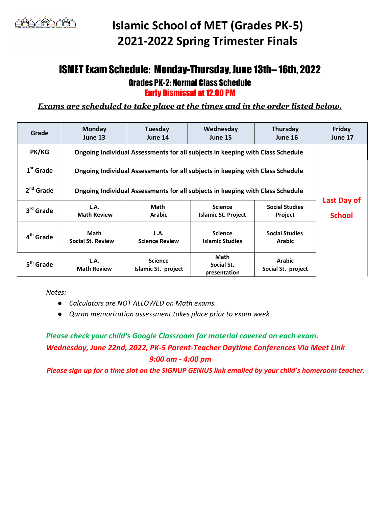# Islamic School of MET (Grades PK-5) 2021-2022 Spring Trimester Finals

### ISMET Exam Schedule: Monday-Thursday, June 13th– 16th, 2022 Grades PK-2: Normal Class Schedule Early Dismissal at 12.00 PM

Exams are scheduled to take place at the times and in the order listed below.

| Grade                 | <b>Monday</b><br>June 13                                                       | Tuesday<br>June 14                    | Wednesday<br>June 15                         | Thursday<br>June 16                     | Friday<br>June 17 |
|-----------------------|--------------------------------------------------------------------------------|---------------------------------------|----------------------------------------------|-----------------------------------------|-------------------|
| <b>PK/KG</b>          | Ongoing Individual Assessments for all subjects in keeping with Class Schedule |                                       |                                              |                                         |                   |
| $1st$ Grade           | Ongoing Individual Assessments for all subjects in keeping with Class Schedule | Last Day of                           |                                              |                                         |                   |
| $2nd$ Grade           | Ongoing Individual Assessments for all subjects in keeping with Class Schedule |                                       |                                              |                                         |                   |
| 3 <sup>rd</sup> Grade | L.A.<br><b>Math Review</b>                                                     | Math<br><b>Arabic</b>                 | <b>Science</b><br><b>Islamic St. Project</b> | <b>Social Studies</b><br><b>Project</b> | <b>School</b>     |
| 4 <sup>th</sup> Grade | <b>Math</b><br><b>Social St. Review</b>                                        | L.A.<br><b>Science Review</b>         | <b>Science</b><br><b>Islamic Studies</b>     | <b>Social Studies</b><br><b>Arabic</b>  |                   |
| 5 <sup>th</sup> Grade | L.A.<br><b>Math Review</b>                                                     | <b>Science</b><br>Islamic St. project | Math<br>Social St.<br>presentation           | <b>Arabic</b><br>Social St. project     |                   |

Notes:

- Calculators are NOT ALLOWED on Math exams.
- Quran memorization assessment takes place prior to exam week.

### Please check your child's Google Classroom for material covered on each exam. Wednesday, June 22nd, 2022, PK-5 Parent-Teacher Daytime Conferences Via Meet Link 9:00 am - 4:00 pm

Please sign up for a time slot on the SIGNUP GENIUS link emailed by your child's homeroom teacher.